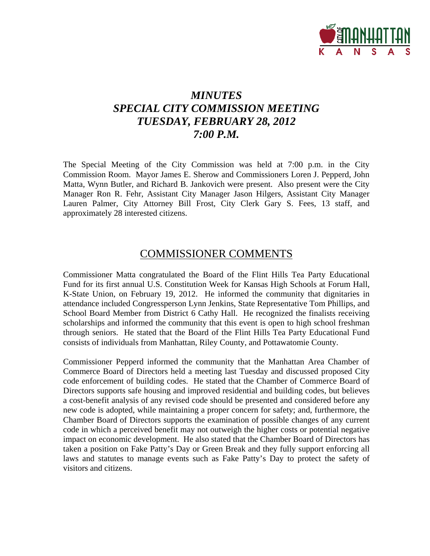

# *MINUTES SPECIAL CITY COMMISSION MEETING TUESDAY, FEBRUARY 28, 2012 7:00 P.M.*

The Special Meeting of the City Commission was held at 7:00 p.m. in the City Commission Room. Mayor James E. Sherow and Commissioners Loren J. Pepperd, John Matta, Wynn Butler, and Richard B. Jankovich were present. Also present were the City Manager Ron R. Fehr, Assistant City Manager Jason Hilgers, Assistant City Manager Lauren Palmer, City Attorney Bill Frost, City Clerk Gary S. Fees, 13 staff, and approximately 28 interested citizens.

## COMMISSIONER COMMENTS

Commissioner Matta congratulated the Board of the Flint Hills Tea Party Educational Fund for its first annual U.S. Constitution Week for Kansas High Schools at Forum Hall, K-State Union, on February 19, 2012. He informed the community that dignitaries in attendance included Congressperson Lynn Jenkins, State Representative Tom Phillips, and School Board Member from District 6 Cathy Hall. He recognized the finalists receiving scholarships and informed the community that this event is open to high school freshman through seniors. He stated that the Board of the Flint Hills Tea Party Educational Fund consists of individuals from Manhattan, Riley County, and Pottawatomie County.

Commissioner Pepperd informed the community that the Manhattan Area Chamber of Commerce Board of Directors held a meeting last Tuesday and discussed proposed City code enforcement of building codes. He stated that the Chamber of Commerce Board of Directors supports safe housing and improved residential and building codes, but believes a cost-benefit analysis of any revised code should be presented and considered before any new code is adopted, while maintaining a proper concern for safety; and, furthermore, the Chamber Board of Directors supports the examination of possible changes of any current code in which a perceived benefit may not outweigh the higher costs or potential negative impact on economic development. He also stated that the Chamber Board of Directors has taken a position on Fake Patty's Day or Green Break and they fully support enforcing all laws and statutes to manage events such as Fake Patty's Day to protect the safety of visitors and citizens.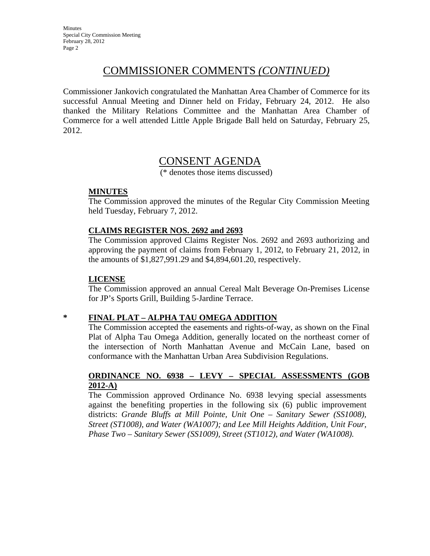## COMMISSIONER COMMENTS *(CONTINUED)*

Commissioner Jankovich congratulated the Manhattan Area Chamber of Commerce for its successful Annual Meeting and Dinner held on Friday, February 24, 2012. He also thanked the Military Relations Committee and the Manhattan Area Chamber of Commerce for a well attended Little Apple Brigade Ball held on Saturday, February 25, 2012.

## CONSENT AGENDA

(\* denotes those items discussed)

#### **MINUTES**

The Commission approved the minutes of the Regular City Commission Meeting held Tuesday, February 7, 2012.

#### **CLAIMS REGISTER NOS. 2692 and 2693**

The Commission approved Claims Register Nos. 2692 and 2693 authorizing and approving the payment of claims from February 1, 2012, to February 21, 2012, in the amounts of \$1,827,991.29 and \$4,894,601.20, respectively.

#### **LICENSE**

The Commission approved an annual Cereal Malt Beverage On-Premises License for JP's Sports Grill, Building 5-Jardine Terrace.

#### **\* FINAL PLAT – ALPHA TAU OMEGA ADDITION**

The Commission accepted the easements and rights-of-way, as shown on the Final Plat of Alpha Tau Omega Addition, generally located on the northeast corner of the intersection of North Manhattan Avenue and McCain Lane, based on conformance with the Manhattan Urban Area Subdivision Regulations.

#### **ORDINANCE NO. 6938 – LEVY – SPECIAL ASSESSMENTS (GOB 2012-A)**

The Commission approved Ordinance No. 6938 levying special assessments against the benefiting properties in the following six (6) public improvement districts: *Grande Bluffs at Mill Pointe, Unit One – Sanitary Sewer (SS1008), Street (ST1008), and Water (WA1007); and Lee Mill Heights Addition, Unit Four, Phase Two – Sanitary Sewer (SS1009), Street (ST1012), and Water (WA1008).*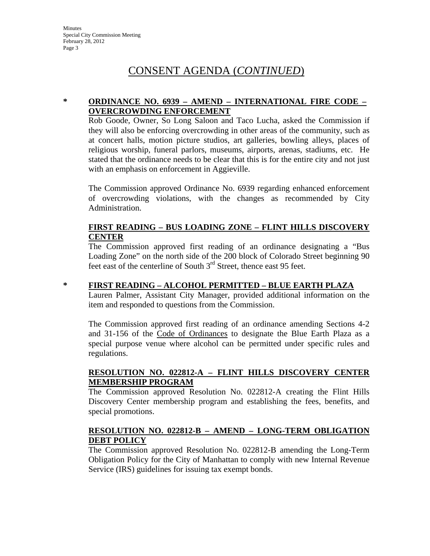#### **\* ORDINANCE NO. 6939 – AMEND – INTERNATIONAL FIRE CODE – OVERCROWDING ENFORCEMENT**

Rob Goode, Owner, So Long Saloon and Taco Lucha, asked the Commission if they will also be enforcing overcrowding in other areas of the community, such as at concert halls, motion picture studios, art galleries, bowling alleys, places of religious worship, funeral parlors, museums, airports, arenas, stadiums, etc. He stated that the ordinance needs to be clear that this is for the entire city and not just with an emphasis on enforcement in Aggieville.

The Commission approved Ordinance No. 6939 regarding enhanced enforcement of overcrowding violations, with the changes as recommended by City Administration.

#### **FIRST READING – BUS LOADING ZONE – FLINT HILLS DISCOVERY CENTER**

The Commission approved first reading of an ordinance designating a "Bus Loading Zone" on the north side of the 200 block of Colorado Street beginning 90 feet east of the centerline of South  $3<sup>rd</sup>$  Street, thence east 95 feet.

#### **\* FIRST READING – ALCOHOL PERMITTED – BLUE EARTH PLAZA**

Lauren Palmer, Assistant City Manager, provided additional information on the item and responded to questions from the Commission.

The Commission approved first reading of an ordinance amending Sections 4-2 and 31-156 of the Code of Ordinances to designate the Blue Earth Plaza as a special purpose venue where alcohol can be permitted under specific rules and regulations.

#### **RESOLUTION NO. 022812-A – FLINT HILLS DISCOVERY CENTER MEMBERSHIP PROGRAM**

The Commission approved Resolution No. 022812-A creating the Flint Hills Discovery Center membership program and establishing the fees, benefits, and special promotions.

#### **RESOLUTION NO. 022812-B – AMEND – LONG-TERM OBLIGATION DEBT POLICY**

The Commission approved Resolution No. 022812-B amending the Long-Term Obligation Policy for the City of Manhattan to comply with new Internal Revenue Service (IRS) guidelines for issuing tax exempt bonds.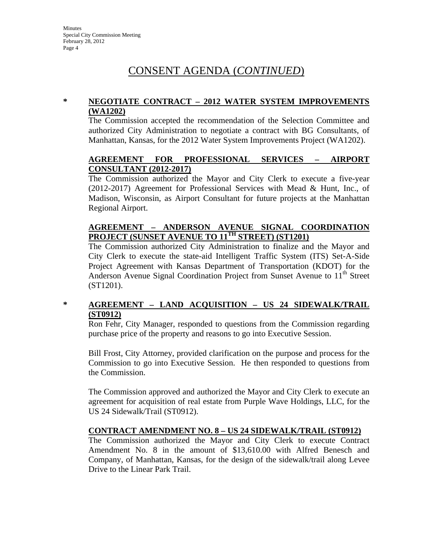#### **\* NEGOTIATE CONTRACT – 2012 WATER SYSTEM IMPROVEMENTS (WA1202)**

The Commission accepted the recommendation of the Selection Committee and authorized City Administration to negotiate a contract with BG Consultants, of Manhattan, Kansas, for the 2012 Water System Improvements Project (WA1202).

#### **AGREEMENT FOR PROFESSIONAL SERVICES – AIRPORT CONSULTANT (2012-2017)**

The Commission authorized the Mayor and City Clerk to execute a five-year (2012-2017) Agreement for Professional Services with Mead & Hunt, Inc., of Madison, Wisconsin, as Airport Consultant for future projects at the Manhattan Regional Airport.

#### **AGREEMENT – ANDERSON AVENUE SIGNAL COORDINATION PROJECT (SUNSET AVENUE TO 11TH STREET) (ST1201)**

The Commission authorized City Administration to finalize and the Mayor and City Clerk to execute the state-aid Intelligent Traffic System (ITS) Set-A-Side Project Agreement with Kansas Department of Transportation (KDOT) for the Anderson Avenue Signal Coordination Project from Sunset Avenue to 11<sup>th</sup> Street (ST1201).

#### **\* AGREEMENT – LAND ACQUISITION – US 24 SIDEWALK/TRAIL (ST0912)**

Ron Fehr, City Manager, responded to questions from the Commission regarding purchase price of the property and reasons to go into Executive Session.

Bill Frost, City Attorney, provided clarification on the purpose and process for the Commission to go into Executive Session. He then responded to questions from the Commission.

The Commission approved and authorized the Mayor and City Clerk to execute an agreement for acquisition of real estate from Purple Wave Holdings, LLC, for the US 24 Sidewalk/Trail (ST0912).

#### **CONTRACT AMENDMENT NO. 8 – US 24 SIDEWALK/TRAIL (ST0912)**

The Commission authorized the Mayor and City Clerk to execute Contract Amendment No. 8 in the amount of \$13,610.00 with Alfred Benesch and Company, of Manhattan, Kansas, for the design of the sidewalk/trail along Levee Drive to the Linear Park Trail.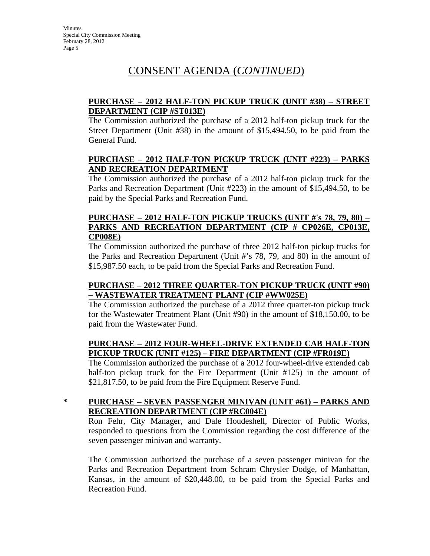#### **PURCHASE – 2012 HALF-TON PICKUP TRUCK (UNIT #38) – STREET DEPARTMENT (CIP #ST013E)**

The Commission authorized the purchase of a 2012 half-ton pickup truck for the Street Department (Unit #38) in the amount of \$15,494.50, to be paid from the General Fund.

#### **PURCHASE – 2012 HALF-TON PICKUP TRUCK (UNIT #223) – PARKS AND RECREATION DEPARTMENT**

The Commission authorized the purchase of a 2012 half-ton pickup truck for the Parks and Recreation Department (Unit #223) in the amount of \$15,494.50, to be paid by the Special Parks and Recreation Fund.

#### **PURCHASE – 2012 HALF-TON PICKUP TRUCKS (UNIT #'s 78, 79, 80) – PARKS AND RECREATION DEPARTMENT (CIP # CP026E, CP013E, CP008E)**

The Commission authorized the purchase of three 2012 half-ton pickup trucks for the Parks and Recreation Department (Unit #'s 78, 79, and 80) in the amount of \$15,987.50 each, to be paid from the Special Parks and Recreation Fund.

### **PURCHASE – 2012 THREE QUARTER-TON PICKUP TRUCK (UNIT #90) – WASTEWATER TREATMENT PLANT (CIP #WW025E)**

The Commission authorized the purchase of a 2012 three quarter-ton pickup truck for the Wastewater Treatment Plant (Unit #90) in the amount of \$18,150.00, to be paid from the Wastewater Fund.

#### **PURCHASE – 2012 FOUR-WHEEL-DRIVE EXTENDED CAB HALF-TON PICKUP TRUCK (UNIT #125) – FIRE DEPARTMENT (CIP #FR019E)**

The Commission authorized the purchase of a 2012 four-wheel-drive extended cab half-ton pickup truck for the Fire Department (Unit #125) in the amount of \$21,817.50, to be paid from the Fire Equipment Reserve Fund.

#### **\* PURCHASE – SEVEN PASSENGER MINIVAN (UNIT #61) – PARKS AND RECREATION DEPARTMENT (CIP #RC004E)**

Ron Fehr, City Manager, and Dale Houdeshell, Director of Public Works, responded to questions from the Commission regarding the cost difference of the seven passenger minivan and warranty.

The Commission authorized the purchase of a seven passenger minivan for the Parks and Recreation Department from Schram Chrysler Dodge, of Manhattan, Kansas, in the amount of \$20,448.00, to be paid from the Special Parks and Recreation Fund.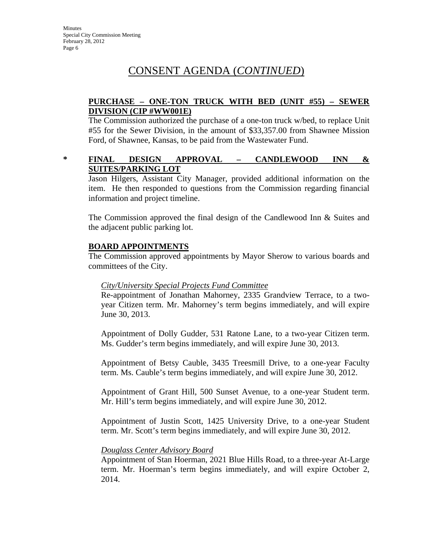#### **PURCHASE – ONE-TON TRUCK WITH BED (UNIT #55) – SEWER DIVISION (CIP #WW001E)**

The Commission authorized the purchase of a one-ton truck w/bed, to replace Unit #55 for the Sewer Division, in the amount of \$33,357.00 from Shawnee Mission Ford, of Shawnee, Kansas, to be paid from the Wastewater Fund.

#### **\* FINAL DESIGN APPROVAL – CANDLEWOOD INN & SUITES/PARKING LOT**

Jason Hilgers, Assistant City Manager, provided additional information on the item. He then responded to questions from the Commission regarding financial information and project timeline.

The Commission approved the final design of the Candlewood Inn & Suites and the adjacent public parking lot.

#### **BOARD APPOINTMENTS**

The Commission approved appointments by Mayor Sherow to various boards and committees of the City.

#### *City/University Special Projects Fund Committee*

Re-appointment of Jonathan Mahorney, 2335 Grandview Terrace, to a twoyear Citizen term. Mr. Mahorney's term begins immediately, and will expire June 30, 2013.

Appointment of Dolly Gudder, 531 Ratone Lane, to a two-year Citizen term. Ms. Gudder's term begins immediately, and will expire June 30, 2013.

Appointment of Betsy Cauble, 3435 Treesmill Drive, to a one-year Faculty term. Ms. Cauble's term begins immediately, and will expire June 30, 2012.

Appointment of Grant Hill, 500 Sunset Avenue, to a one-year Student term. Mr. Hill's term begins immediately, and will expire June 30, 2012.

Appointment of Justin Scott, 1425 University Drive, to a one-year Student term. Mr. Scott's term begins immediately, and will expire June 30, 2012.

#### *Douglass Center Advisory Board*

Appointment of Stan Hoerman, 2021 Blue Hills Road, to a three-year At-Large term. Mr. Hoerman's term begins immediately, and will expire October 2, 2014.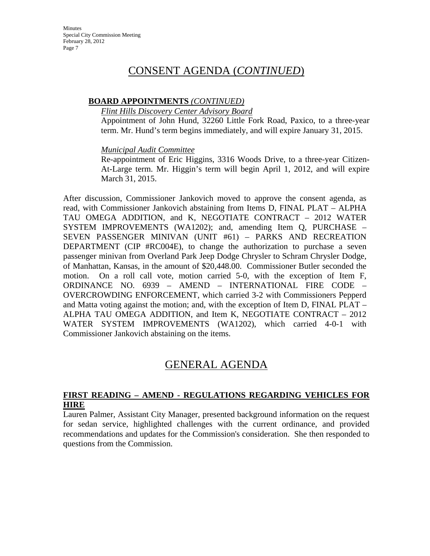#### **BOARD APPOINTMENTS** *(CONTINUED)*

*Flint Hills Discovery Center Advisory Board*

Appointment of John Hund, 32260 Little Fork Road, Paxico, to a three-year term. Mr. Hund's term begins immediately, and will expire January 31, 2015.

*Municipal Audit Committee*

Re-appointment of Eric Higgins, 3316 Woods Drive, to a three-year Citizen-At-Large term. Mr. Higgin's term will begin April 1, 2012, and will expire March 31, 2015.

After discussion, Commissioner Jankovich moved to approve the consent agenda, as read, with Commissioner Jankovich abstaining from Items D, FINAL PLAT – ALPHA TAU OMEGA ADDITION, and K, NEGOTIATE CONTRACT – 2012 WATER SYSTEM IMPROVEMENTS (WA1202); and, amending Item Q, PURCHASE – SEVEN PASSENGER MINIVAN (UNIT #61) – PARKS AND RECREATION DEPARTMENT (CIP #RC004E), to change the authorization to purchase a seven passenger minivan from Overland Park Jeep Dodge Chrysler to Schram Chrysler Dodge, of Manhattan, Kansas, in the amount of \$20,448.00. Commissioner Butler seconded the motion. On a roll call vote, motion carried 5-0, with the exception of Item F, ORDINANCE NO. 6939 – AMEND – INTERNATIONAL FIRE CODE – OVERCROWDING ENFORCEMENT, which carried 3-2 with Commissioners Pepperd and Matta voting against the motion; and, with the exception of Item D, FINAL PLAT – ALPHA TAU OMEGA ADDITION, and Item K, NEGOTIATE CONTRACT – 2012 WATER SYSTEM IMPROVEMENTS (WA1202), which carried 4-0-1 with Commissioner Jankovich abstaining on the items.

## GENERAL AGENDA

#### **FIRST READING – AMEND - REGULATIONS REGARDING VEHICLES FOR HIRE**

Lauren Palmer, Assistant City Manager, presented background information on the request for sedan service, highlighted challenges with the current ordinance, and provided recommendations and updates for the Commission's consideration. She then responded to questions from the Commission.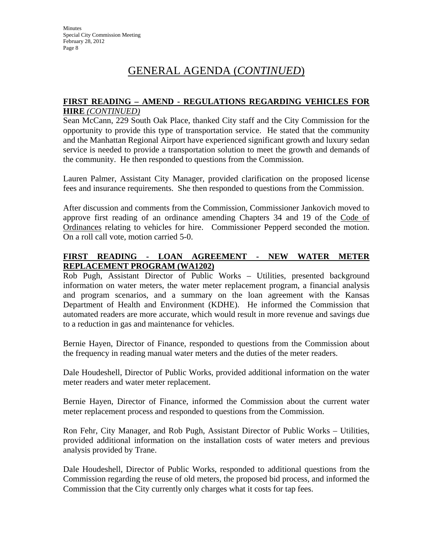# GENERAL AGENDA (*CONTINUED*)

#### **FIRST READING – AMEND - REGULATIONS REGARDING VEHICLES FOR HIRE** *(CONTINUED)*

Sean McCann, 229 South Oak Place, thanked City staff and the City Commission for the opportunity to provide this type of transportation service. He stated that the community and the Manhattan Regional Airport have experienced significant growth and luxury sedan service is needed to provide a transportation solution to meet the growth and demands of the community. He then responded to questions from the Commission.

Lauren Palmer, Assistant City Manager, provided clarification on the proposed license fees and insurance requirements. She then responded to questions from the Commission.

After discussion and comments from the Commission, Commissioner Jankovich moved to approve first reading of an ordinance amending Chapters 34 and 19 of the Code of Ordinances relating to vehicles for hire. Commissioner Pepperd seconded the motion. On a roll call vote, motion carried 5-0.

#### **FIRST READING - LOAN AGREEMENT - NEW WATER METER REPLACEMENT PROGRAM (WA1202)**

Rob Pugh, Assistant Director of Public Works – Utilities, presented background information on water meters, the water meter replacement program, a financial analysis and program scenarios, and a summary on the loan agreement with the Kansas Department of Health and Environment (KDHE). He informed the Commission that automated readers are more accurate, which would result in more revenue and savings due to a reduction in gas and maintenance for vehicles.

Bernie Hayen, Director of Finance, responded to questions from the Commission about the frequency in reading manual water meters and the duties of the meter readers.

Dale Houdeshell, Director of Public Works, provided additional information on the water meter readers and water meter replacement.

Bernie Hayen, Director of Finance, informed the Commission about the current water meter replacement process and responded to questions from the Commission.

Ron Fehr, City Manager, and Rob Pugh, Assistant Director of Public Works – Utilities, provided additional information on the installation costs of water meters and previous analysis provided by Trane.

Dale Houdeshell, Director of Public Works, responded to additional questions from the Commission regarding the reuse of old meters, the proposed bid process, and informed the Commission that the City currently only charges what it costs for tap fees.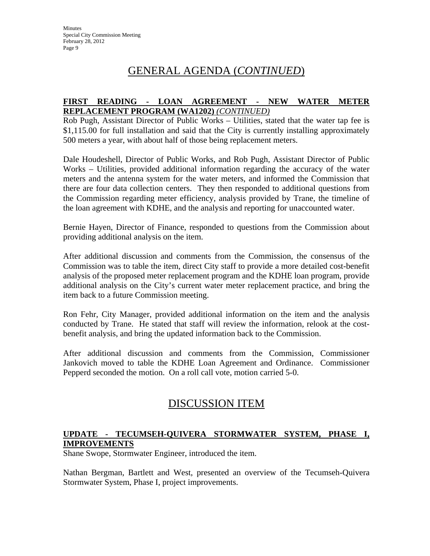# GENERAL AGENDA (*CONTINUED*)

#### **FIRST READING - LOAN AGREEMENT - NEW WATER METER REPLACEMENT PROGRAM (WA1202)** *(CONTINUED)*

Rob Pugh, Assistant Director of Public Works – Utilities, stated that the water tap fee is \$1,115.00 for full installation and said that the City is currently installing approximately 500 meters a year, with about half of those being replacement meters.

Dale Houdeshell, Director of Public Works, and Rob Pugh, Assistant Director of Public Works – Utilities, provided additional information regarding the accuracy of the water meters and the antenna system for the water meters, and informed the Commission that there are four data collection centers. They then responded to additional questions from the Commission regarding meter efficiency, analysis provided by Trane, the timeline of the loan agreement with KDHE, and the analysis and reporting for unaccounted water.

Bernie Hayen, Director of Finance, responded to questions from the Commission about providing additional analysis on the item.

After additional discussion and comments from the Commission, the consensus of the Commission was to table the item, direct City staff to provide a more detailed cost-benefit analysis of the proposed meter replacement program and the KDHE loan program, provide additional analysis on the City's current water meter replacement practice, and bring the item back to a future Commission meeting.

Ron Fehr, City Manager, provided additional information on the item and the analysis conducted by Trane. He stated that staff will review the information, relook at the costbenefit analysis, and bring the updated information back to the Commission.

After additional discussion and comments from the Commission, Commissioner Jankovich moved to table the KDHE Loan Agreement and Ordinance. Commissioner Pepperd seconded the motion. On a roll call vote, motion carried 5-0.

## DISCUSSION ITEM

### **UPDATE - TECUMSEH-QUIVERA STORMWATER SYSTEM, PHASE I, IMPROVEMENTS**

Shane Swope, Stormwater Engineer, introduced the item.

Nathan Bergman, Bartlett and West, presented an overview of the Tecumseh-Quivera Stormwater System, Phase I, project improvements.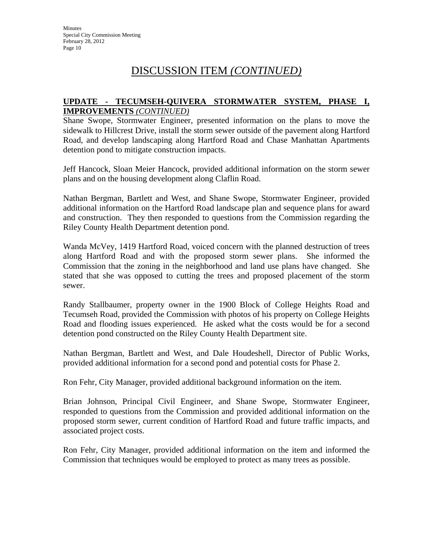# DISCUSSION ITEM *(CONTINUED)*

#### **UPDATE - TECUMSEH-QUIVERA STORMWATER SYSTEM, PHASE I, IMPROVEMENTS** *(CONTINUED)*

Shane Swope, Stormwater Engineer, presented information on the plans to move the sidewalk to Hillcrest Drive, install the storm sewer outside of the pavement along Hartford Road, and develop landscaping along Hartford Road and Chase Manhattan Apartments detention pond to mitigate construction impacts.

Jeff Hancock, Sloan Meier Hancock, provided additional information on the storm sewer plans and on the housing development along Claflin Road.

Nathan Bergman, Bartlett and West, and Shane Swope, Stormwater Engineer, provided additional information on the Hartford Road landscape plan and sequence plans for award and construction. They then responded to questions from the Commission regarding the Riley County Health Department detention pond.

Wanda McVey, 1419 Hartford Road, voiced concern with the planned destruction of trees along Hartford Road and with the proposed storm sewer plans. She informed the Commission that the zoning in the neighborhood and land use plans have changed. She stated that she was opposed to cutting the trees and proposed placement of the storm sewer.

Randy Stallbaumer, property owner in the 1900 Block of College Heights Road and Tecumseh Road, provided the Commission with photos of his property on College Heights Road and flooding issues experienced. He asked what the costs would be for a second detention pond constructed on the Riley County Health Department site.

Nathan Bergman, Bartlett and West, and Dale Houdeshell, Director of Public Works, provided additional information for a second pond and potential costs for Phase 2.

Ron Fehr, City Manager, provided additional background information on the item.

Brian Johnson, Principal Civil Engineer, and Shane Swope, Stormwater Engineer, responded to questions from the Commission and provided additional information on the proposed storm sewer, current condition of Hartford Road and future traffic impacts, and associated project costs.

Ron Fehr, City Manager, provided additional information on the item and informed the Commission that techniques would be employed to protect as many trees as possible.